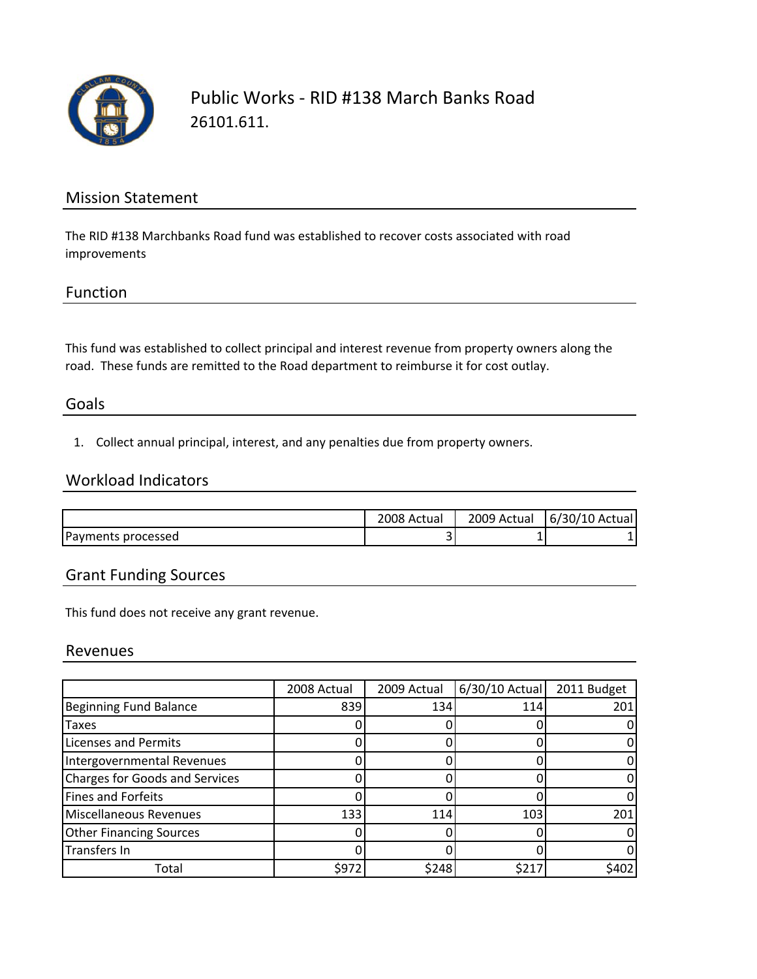

## Public Works ‐ RID #138 March Banks Road 26101.611.

### Mission Statement

The RID #138 Marchbanks Road fund was established to recover costs associated with road improvements

### Function

This fund was established to collect principal and interest revenue from property owners along the road. These funds are remitted to the Road department to reimburse it for cost outlay.

### Goals

1. Collect annual principal, interest, and any penalties due from property owners.

## Workload Indicators

|                    | 2008 Actual | 2009<br>Actual | 6/30/10 Actual |
|--------------------|-------------|----------------|----------------|
| Payments processed | -           |                |                |

## Grant Funding Sources

This fund does not receive any grant revenue.

#### Revenues

|                                       | 2008 Actual | 2009 Actual | $6/30/10$ Actual | 2011 Budget |
|---------------------------------------|-------------|-------------|------------------|-------------|
| <b>Beginning Fund Balance</b>         | 839         | 134         | 114              | 201         |
| Taxes                                 |             |             |                  |             |
| Licenses and Permits                  |             |             |                  |             |
| Intergovernmental Revenues            |             |             |                  |             |
| <b>Charges for Goods and Services</b> |             |             |                  |             |
| <b>Fines and Forfeits</b>             |             |             |                  |             |
| <b>Miscellaneous Revenues</b>         | 133         | 114         | 103              | 201         |
| <b>Other Financing Sources</b>        |             |             |                  |             |
| Transfers In                          |             |             |                  |             |
| Total                                 | \$972       | \$248       | \$217            | \$402       |